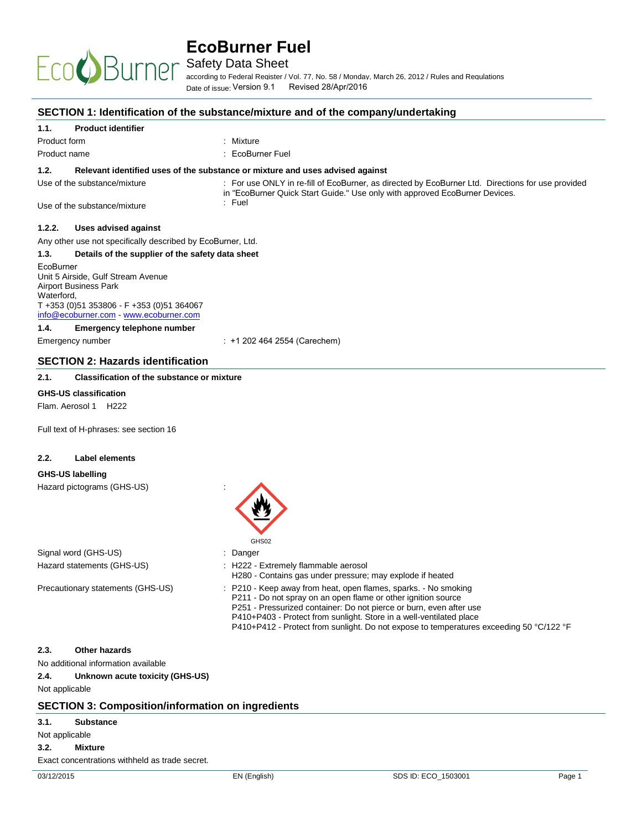

Safety Data Sheet

according to Federal Register / Vol. 77. No. 58 / Mondav. March 26. 2012 / Rules and Regulations Date of issue: Version 9.1 Revised 28/Apr/2016

#### **SECTION 1: Identification of the substance/mixture and of the company/undertaking**

#### **1.1. Product identifier**

EcoC

| Product form                                                | : Mixture                                                                                                                                                                        |
|-------------------------------------------------------------|----------------------------------------------------------------------------------------------------------------------------------------------------------------------------------|
| Product name                                                | : EcoBurner Fuel                                                                                                                                                                 |
| 1.2.                                                        | Relevant identified uses of the substance or mixture and uses advised against                                                                                                    |
| Use of the substance/mixture                                | : For use ONLY in re-fill of EcoBurner, as directed by EcoBurner Ltd. Directions for use provided<br>in "EcoBurner Quick Start Guide." Use only with approved EcoBurner Devices. |
| Use of the substance/mixture                                | $:$ Fuel                                                                                                                                                                         |
| Uses advised against<br>1.2.2.                              |                                                                                                                                                                                  |
| Any other use not specifically described by EcoBurner, Ltd. |                                                                                                                                                                                  |
| 1.3.                                                        | Details of the supplier of the safety data sheet                                                                                                                                 |
| <b>FcoBurner</b>                                            |                                                                                                                                                                                  |

Unit 5 Airside, Gulf Stream Avenue Airport Business Park Waterford, T +353 (0)51 353806 - F +353 (0)51 364067 info@ecoburner.com - www.ecoburner.com

#### **1.4. Emergency telephone number**

Emergency number  $\qquad \qquad$ : +1 202 464 2554 (Carechem)

#### **SECTION 2: Hazards identification**

#### **2.1. Classification of the substance or mixture**

#### **GHS-US classification**

Flam. Aerosol 1 H222

Full text of H-phrases: see section 16

#### **2.2. Label elements**

#### **GHS-US labelling**

Hazard pictograms (GHS-US) :

|                                   | GHS02                                                                                                                                                                                                                                                                          |
|-----------------------------------|--------------------------------------------------------------------------------------------------------------------------------------------------------------------------------------------------------------------------------------------------------------------------------|
| Signal word (GHS-US)              | : Danger                                                                                                                                                                                                                                                                       |
| Hazard statements (GHS-US)        | : H222 - Extremely flammable aerosol<br>H280 - Contains gas under pressure; may explode if heated                                                                                                                                                                              |
| Precautionary statements (GHS-US) | : P210 - Keep away from heat, open flames, sparks. - No smoking<br>P211 - Do not spray on an open flame or other ignition source<br>P251 - Pressurized container: Do not pierce or burn, even after use<br>P410+P403 - Protect from sunlight. Store in a well-ventilated place |

#### **2.3. Other hazards**

No additional information available

**2.4. Unknown acute toxicity (GHS-US)** 

#### Not applicable

#### **SECTION 3: Composition/information on ingredients**

**3.1. Substance**

## Not applicable

**3.2. Mixture** 

Exact concentrations withheld as trade secret.

P410+P412 - Protect from sunlight. Do not expose to temperatures exceeding 50 °C/122 °F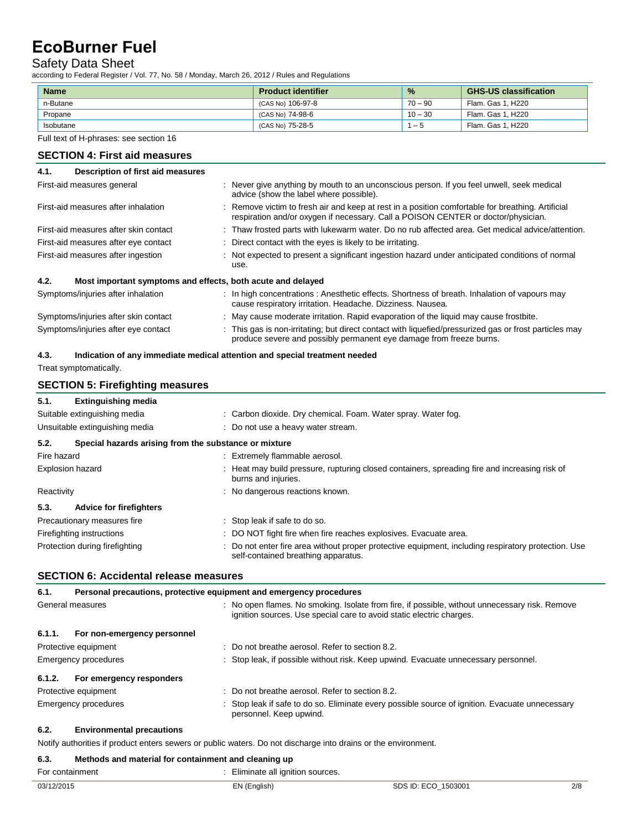## Safety Data Sheet

according to Federal Register / Vol. 77, No. 58 / Monday, March 26, 2012 / Rules and Regulations

| <b>Name</b> | <b>Product identifier</b> | $\frac{9}{6}$ | <b>GHS-US classification</b> |
|-------------|---------------------------|---------------|------------------------------|
| n-Butane    | (CAS No) 106-97-8         | $70 - 90$     | Flam. Gas 1. H220            |
| Propane     | (CAS No) 74-98-6          | $10 - 30$     | Flam. Gas 1. H220            |
| Isobutane   | (CAS No) 75-28-5          | — 5           | Flam. Gas 1. H220            |

Full text of H-phrases: see section 16

### **SECTION 4: First aid measures**

| Description of first aid measures<br>4.1.                           |                                                                                                                                                                                        |
|---------------------------------------------------------------------|----------------------------------------------------------------------------------------------------------------------------------------------------------------------------------------|
| First-aid measures general                                          | : Never give anything by mouth to an unconscious person. If you feel unwell, seek medical<br>advice (show the label where possible).                                                   |
| First-aid measures after inhalation                                 | : Remove victim to fresh air and keep at rest in a position comfortable for breathing. Artificial<br>respiration and/or oxygen if necessary. Call a POISON CENTER or doctor/physician. |
| First-aid measures after skin contact                               | : Thaw frosted parts with lukewarm water. Do no rub affected area. Get medical advice/attention.                                                                                       |
| First-aid measures after eye contact                                | : Direct contact with the eyes is likely to be irritating.                                                                                                                             |
| First-aid measures after ingestion                                  | : Not expected to present a significant ingestion hazard under anticipated conditions of normal<br>use.                                                                                |
| 4.2.<br>Most important symptoms and effects, both acute and delayed |                                                                                                                                                                                        |
| Symptoms/injuries after inhalation                                  | : In high concentrations: Anesthetic effects. Shortness of breath. Inhalation of vapours may<br>cause respiratory irritation. Headache. Dizziness. Nausea.                             |
| Symptoms/injuries after skin contact                                | : May cause moderate irritation. Rapid evaporation of the liquid may cause frostbite.                                                                                                  |
| Symptoms/injuries after eye contact                                 | : This gas is non-irritating; but direct contact with liquefied/pressurized gas or frost particles may<br>produce severe and possibly permanent eye damage from freeze burns.          |

## **4.3. Indication of any immediate medical attention and special treatment needed**

Treat symptomatically.

#### **SECTION 5: Firefighting measures**

| 5.1. | <b>Extinguishing media</b> |
|------|----------------------------|
|      |                            |

| Suitable extinguishing media<br>Unsuitable extinguishing media |                                |                                                       | : Carbon dioxide. Dry chemical. Foam. Water spray. Water fog.<br>: Do not use a heavy water stream.                                        |  |  |
|----------------------------------------------------------------|--------------------------------|-------------------------------------------------------|--------------------------------------------------------------------------------------------------------------------------------------------|--|--|
|                                                                |                                |                                                       |                                                                                                                                            |  |  |
| 5.2.                                                           |                                | Special hazards arising from the substance or mixture |                                                                                                                                            |  |  |
| Fire hazard                                                    |                                |                                                       | : Extremely flammable aerosol.                                                                                                             |  |  |
| Explosion hazard                                               |                                |                                                       | : Heat may build pressure, rupturing closed containers, spreading fire and increasing risk of<br>burns and injuries.                       |  |  |
| Reactivity                                                     |                                |                                                       | : No dangerous reactions known.                                                                                                            |  |  |
| 5.3.                                                           | <b>Advice for firefighters</b> |                                                       |                                                                                                                                            |  |  |
| Precautionary measures fire                                    |                                |                                                       | : Stop leak if safe to do so.                                                                                                              |  |  |
| Firefighting instructions                                      |                                |                                                       | : DO NOT fight fire when fire reaches explosives. Evacuate area.                                                                           |  |  |
| Protection during firefighting                                 |                                |                                                       | : Do not enter fire area without proper protective equipment, including respiratory protection. Use<br>self-contained breathing apparatus. |  |  |

### **SECTION 6: Accidental release measures**

| 6.1.             | Personal precautions, protective equipment and emergency procedures |  |                                                                                                                                                                        |
|------------------|---------------------------------------------------------------------|--|------------------------------------------------------------------------------------------------------------------------------------------------------------------------|
| General measures |                                                                     |  | : No open flames. No smoking. Isolate from fire, if possible, without unnecessary risk. Remove<br>ignition sources. Use special care to avoid static electric charges. |
| 6.1.1.           | For non-emergency personnel                                         |  |                                                                                                                                                                        |
|                  | Protective equipment                                                |  | : Do not breathe aerosol. Refer to section 8.2.                                                                                                                        |
|                  | Emergency procedures                                                |  | : Stop leak, if possible without risk. Keep upwind. Evacuate unnecessary personnel.                                                                                    |
| 6.1.2.           | For emergency responders                                            |  |                                                                                                                                                                        |
|                  | Protective equipment                                                |  | $\therefore$ Do not breathe aerosol. Refer to section 8.2.                                                                                                             |
|                  | Emergency procedures                                                |  | : Stop leak if safe to do so. Eliminate every possible source of ignition. Evacuate unnecessary<br>personnel. Keep upwind.                                             |

#### **6.2. Environmental precautions**

Notify authorities if product enters sewers or public waters. Do not discharge into drains or the environment.

#### **6.3. Methods and material for containment and cleaning up**

| For containment | : Eliminate all ignition sources. |
|-----------------|-----------------------------------|
|-----------------|-----------------------------------|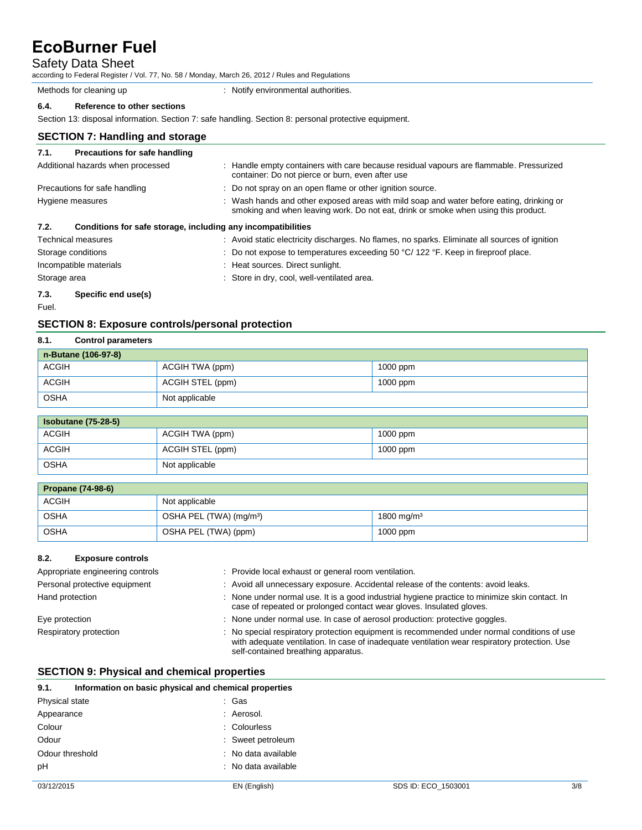## Safety Data Sheet

according to Federal Register / Vol. 77, No. 58 / Monday, March 26, 2012 / Rules and Regulations

Methods for cleaning up **interpretional** : Notify environmental authorities.

## **6.4. Reference to other sections**

Section 13: disposal information. Section 7: safe handling. Section 8: personal protective equipment.

#### **SECTION 7: Handling and storage**

| 7.1.         | <b>Precautions for safe handling</b>                         |                                                                                                                                                                                |
|--------------|--------------------------------------------------------------|--------------------------------------------------------------------------------------------------------------------------------------------------------------------------------|
|              | Additional hazards when processed                            | : Handle empty containers with care because residual vapours are flammable. Pressurized<br>container: Do not pierce or burn, even after use                                    |
|              | Precautions for safe handling                                | : Do not spray on an open flame or other ignition source.                                                                                                                      |
|              | Hygiene measures                                             | : Wash hands and other exposed areas with mild soap and water before eating, drinking or<br>smoking and when leaving work. Do not eat, drink or smoke when using this product. |
| 7.2.         | Conditions for safe storage, including any incompatibilities |                                                                                                                                                                                |
|              | Technical measures                                           | : Avoid static electricity discharges. No flames, no sparks. Eliminate all sources of ignition                                                                                 |
|              | Storage conditions                                           | : Do not expose to temperatures exceeding 50 $\degree$ C/ 122 $\degree$ F. Keep in fireproof place.                                                                            |
|              | Incompatible materials                                       | : Heat sources. Direct sunlight.                                                                                                                                               |
| Storage area |                                                              | : Store in dry, cool, well-ventilated area.                                                                                                                                    |
| 7.3.         | Specific end use(s)                                          |                                                                                                                                                                                |
| Fuel.        |                                                              |                                                                                                                                                                                |

#### **SECTION 8: Exposure controls/personal protection**

| <b>Control parameters</b> |  |                                                       |  |  |  |
|---------------------------|--|-------------------------------------------------------|--|--|--|
| n-Butane (106-97-8)       |  |                                                       |  |  |  |
|                           |  | $1000$ ppm                                            |  |  |  |
|                           |  | $1000$ ppm                                            |  |  |  |
|                           |  |                                                       |  |  |  |
|                           |  | ACGIH TWA (ppm)<br>ACGIH STEL (ppm)<br>Not applicable |  |  |  |

| <b>Isobutane (75-28-5)</b> |                  |            |  |  |
|----------------------------|------------------|------------|--|--|
| ACGIH                      | ACGIH TWA (ppm)  | $1000$ ppm |  |  |
| ACGIH                      | ACGIH STEL (ppm) | $1000$ ppm |  |  |
| OSHA                       | Not applicable   |            |  |  |

| <b>Propane (74-98-6)</b> |                                     |                        |  |  |
|--------------------------|-------------------------------------|------------------------|--|--|
| <b>ACGIH</b>             | Not applicable                      |                        |  |  |
| OSHA                     | OSHA PEL (TWA) (mg/m <sup>3</sup> ) | 1800 mg/m <sup>3</sup> |  |  |
| OSHA                     | OSHA PEL (TWA) (ppm)                | $1000$ ppm             |  |  |

#### **8.2. Exposure controls**

| Appropriate engineering controls | : Provide local exhaust or general room ventilation.                                                                                                                                                                                |
|----------------------------------|-------------------------------------------------------------------------------------------------------------------------------------------------------------------------------------------------------------------------------------|
| Personal protective equipment    | : Avoid all unnecessary exposure. Accidental release of the contents: avoid leaks.                                                                                                                                                  |
| Hand protection                  | : None under normal use. It is a good industrial hygiene practice to minimize skin contact. In<br>case of repeated or prolonged contact wear gloves. Insulated gloves.                                                              |
| Eye protection                   | : None under normal use. In case of aerosol production: protective goggles.                                                                                                                                                         |
| Respiratory protection           | : No special respiratory protection equipment is recommended under normal conditions of use<br>with adequate ventilation. In case of inadequate ventilation wear respiratory protection. Use<br>self-contained breathing apparatus. |

#### **SECTION 9: Physical and chemical properties**

| Information on basic physical and chemical properties<br>9.1. |                     |                     |     |
|---------------------------------------------------------------|---------------------|---------------------|-----|
| Physical state                                                | : Gas               |                     |     |
| Appearance                                                    | : Aerosol.          |                     |     |
| Colour                                                        | : Colourless        |                     |     |
| Odour                                                         | : Sweet petroleum   |                     |     |
| Odour threshold                                               | : No data available |                     |     |
| pH                                                            | : No data available |                     |     |
| 03/12/2015                                                    | EN (English)        | SDS ID: ECO 1503001 | 3/8 |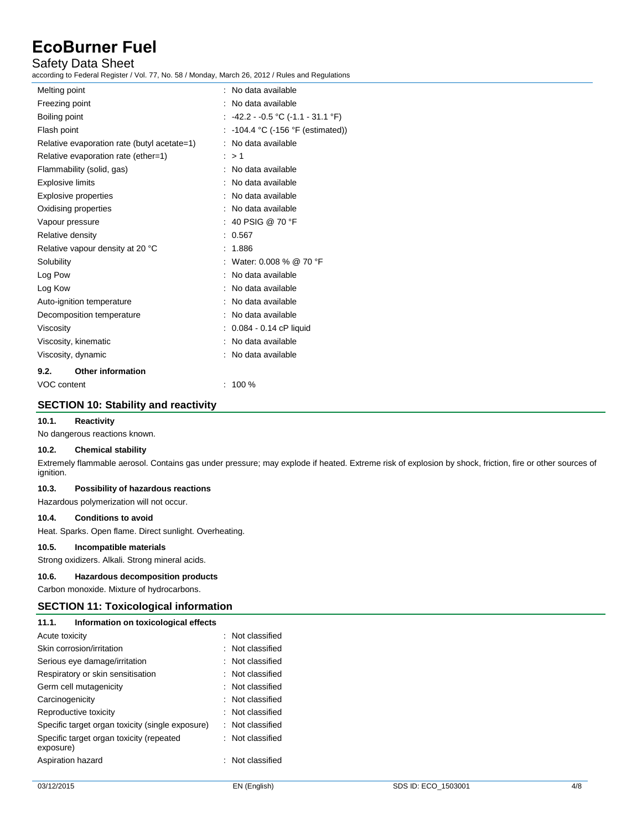## Safety Data Sheet

according to Federal Register / Vol. 77, No. 58 / Monday, March 26, 2012 / Rules and Regulations

| Melting point                               | No data available                    |
|---------------------------------------------|--------------------------------------|
| Freezing point                              | No data available                    |
| Boiling point                               | : -42.2 - -0.5 °C (-1.1 - 31.1 °F)   |
| Flash point                                 | $-104.4$ °C ( $-156$ °F (estimated)) |
| Relative evaporation rate (butyl acetate=1) | No data available                    |
| Relative evaporation rate (ether=1)         | : > 1                                |
| Flammability (solid, gas)                   | No data available                    |
| Explosive limits                            | No data available                    |
| <b>Explosive properties</b>                 | No data available                    |
| Oxidising properties                        | No data available                    |
| Vapour pressure                             | $:~$ 40 PSIG @ 70 °F                 |
| Relative density                            | 0.567                                |
| Relative vapour density at 20 °C            | 1.886                                |
| Solubility                                  | : Water: 0.008 % @ 70 °F             |
| Log Pow                                     | No data available                    |
| Log Kow                                     | No data available                    |
| Auto-ignition temperature                   | No data available                    |
| Decomposition temperature                   | No data available                    |
| Viscosity                                   | $0.084 - 0.14$ cP liquid             |
| Viscosity, kinematic                        | No data available                    |
| Viscosity, dynamic                          | No data available                    |
| <b>Other information</b><br>9.2.            |                                      |

VOC content : 100 %

#### **SECTION 10: Stability and reactivity**

#### **10.1. Reactivity**

No dangerous reactions known.

#### **10.2. Chemical stability**

Extremely flammable aerosol. Contains gas under pressure; may explode if heated. Extreme risk of explosion by shock, friction, fire or other sources of ignition.

#### **10.3. Possibility of hazardous reactions**

Hazardous polymerization will not occur.

### **10.4. Conditions to avoid**

Heat. Sparks. Open flame. Direct sunlight. Overheating.

#### **10.5. Incompatible materials**

Strong oxidizers. Alkali. Strong mineral acids.

#### **10.6. Hazardous decomposition products**

Carbon monoxide. Mixture of hydrocarbons.

### **SECTION 11: Toxicological information**

| 11.1.                         | Information on toxicological effects             |  |                             |
|-------------------------------|--------------------------------------------------|--|-----------------------------|
| Acute toxicity                |                                                  |  | $\therefore$ Not classified |
| Skin corrosion/irritation     |                                                  |  | $\therefore$ Not classified |
| Serious eye damage/irritation |                                                  |  | $\therefore$ Not classified |
|                               | Respiratory or skin sensitisation                |  | $\therefore$ Not classified |
|                               | Germ cell mutagenicity                           |  |                             |
| Carcinogenicity               |                                                  |  | $\therefore$ Not classified |
| Reproductive toxicity         |                                                  |  | $\therefore$ Not classified |
|                               | Specific target organ toxicity (single exposure) |  | : Not classified            |
| exposure)                     | Specific target organ toxicity (repeated         |  | : Not classified            |
| Aspiration hazard             |                                                  |  | $\therefore$ Not classified |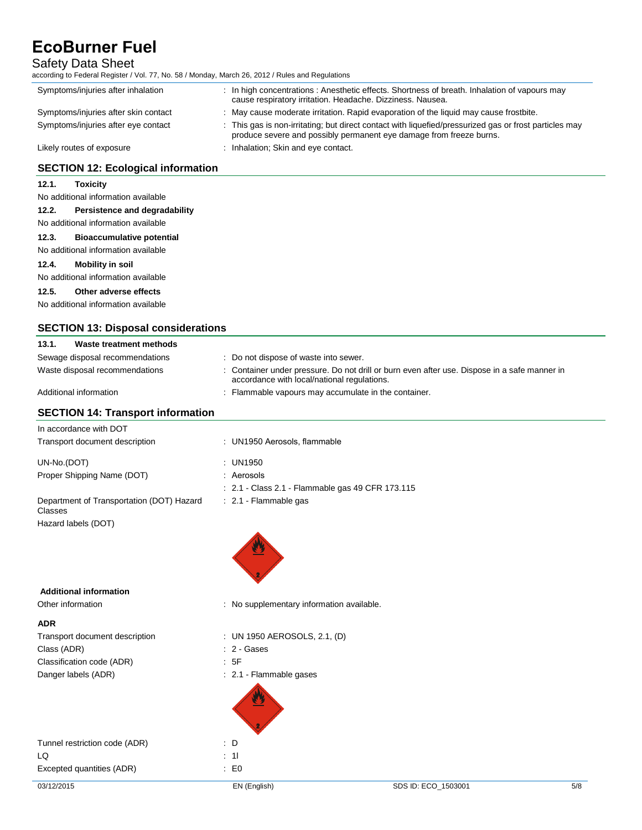# Safety Data Sheet<br>according to Federal Register / \

according to Federal Register / Vol. 77, No. 58 / Monday, March 26, 2012 / Rules and Regulations

| according to Federal Register / Vol. 77, No. 58 / Monday, March 26, 2012 / Rules and Regulations |                                                                                                                                                                               |
|--------------------------------------------------------------------------------------------------|-------------------------------------------------------------------------------------------------------------------------------------------------------------------------------|
| Symptoms/injuries after inhalation                                                               | : In high concentrations: Anesthetic effects. Shortness of breath. Inhalation of vapours may<br>cause respiratory irritation. Headache. Dizziness. Nausea.                    |
| Symptoms/injuries after skin contact                                                             | : May cause moderate irritation. Rapid evaporation of the liquid may cause frostbite.                                                                                         |
| Symptoms/injuries after eye contact                                                              | : This gas is non-irritating; but direct contact with liquefied/pressurized gas or frost particles may<br>produce severe and possibly permanent eye damage from freeze burns. |
| Likely routes of exposure                                                                        | : Inhalation; Skin and eye contact.                                                                                                                                           |
| <b>SECTION 12: Ecological information</b>                                                        |                                                                                                                                                                               |
| 12.1.<br><b>Toxicity</b>                                                                         |                                                                                                                                                                               |
| No additional information available                                                              |                                                                                                                                                                               |
| 12.2.<br>Persistence and degradability                                                           |                                                                                                                                                                               |
| No additional information available                                                              |                                                                                                                                                                               |
| 12.3.<br><b>Bioaccumulative potential</b>                                                        |                                                                                                                                                                               |
| No additional information available                                                              |                                                                                                                                                                               |
| 12.4.<br><b>Mobility in soil</b>                                                                 |                                                                                                                                                                               |
| No additional information available                                                              |                                                                                                                                                                               |
| 12.5.<br>Other adverse effects                                                                   |                                                                                                                                                                               |
| No additional information available                                                              |                                                                                                                                                                               |
|                                                                                                  |                                                                                                                                                                               |
| <b>SECTION 13: Disposal considerations</b>                                                       |                                                                                                                                                                               |
| 13.1.<br>Waste treatment methods                                                                 |                                                                                                                                                                               |
| Sewage disposal recommendations                                                                  | : Do not dispose of waste into sewer.                                                                                                                                         |
| Waste disposal recommendations                                                                   | : Container under pressure. Do not drill or burn even after use. Dispose in a safe manner in<br>accordance with local/national regulations.                                   |
| Additional information                                                                           | : Flammable vapours may accumulate in the container.                                                                                                                          |
| <b>SECTION 14: Transport information</b>                                                         |                                                                                                                                                                               |
| In accordance with DOT                                                                           |                                                                                                                                                                               |
| Transport document description                                                                   | : UN1950 Aerosols, flammable                                                                                                                                                  |
| UN-No.(DOT)                                                                                      | : UN1950                                                                                                                                                                      |
| Proper Shipping Name (DOT)                                                                       | : Aerosols                                                                                                                                                                    |
|                                                                                                  | : 2.1 - Class 2.1 - Flammable gas 49 CFR 173.115                                                                                                                              |
| Department of Transportation (DOT) Hazard<br>Classes                                             | : 2.1 - Flammable gas                                                                                                                                                         |
| Hazard labels (DOT)                                                                              |                                                                                                                                                                               |
|                                                                                                  |                                                                                                                                                                               |



 **Additional information** 

Other information **contains the contract of the contract of the contract of the contract of the contract of the contract of the contract of the contract of the contract of the contract of the contract of the contract of th** 

#### **ADR**

| Transport document description | : UN 1950 AEROSOLS, 2.1, (D) |  |
|--------------------------------|------------------------------|--|
| Class (ADR)                    | : 2 Gases                    |  |
| Classification code (ADR)      | : 5F                         |  |
| Danger labels (ADR)            | 2.1 Flammable gases          |  |
|                                |                              |  |

| Tunnel restriction code (ADR) | : D       |
|-------------------------------|-----------|
| I Q                           | $\div$ 11 |
| Excepted quantities (ADR)     | ÷Е        |

 $\therefore$  E0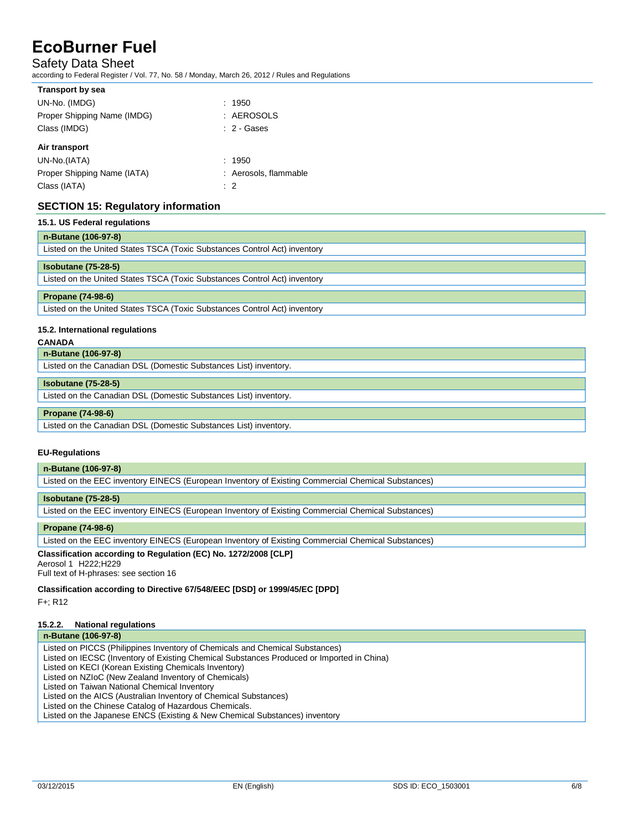### Safety Data Sheet

according to Federal Register / Vol. 77, No. 58 / Monday, March 26, 2012 / Rules and Regulations

| <b>Transport by sea</b>     |                       |
|-----------------------------|-----------------------|
| UN-No. (IMDG)               | : 1950                |
| Proper Shipping Name (IMDG) | : AEROSOLS            |
| Class (IMDG)                | $: 2 - \text{Gases}$  |
| Air transport               |                       |
| UN-No.(IATA)                | : 1950                |
| Proper Shipping Name (IATA) | : Aerosols, flammable |
| Class (IATA)                | : 2                   |

### **SECTION 15: Regulatory information**

| 15.1. US Federal regulations                                              |  |  |
|---------------------------------------------------------------------------|--|--|
| n-Butane (106-97-8)                                                       |  |  |
| Listed on the United States TSCA (Toxic Substances Control Act) inventory |  |  |
| <b>Isobutane (75-28-5)</b>                                                |  |  |
| Listed on the United States TSCA (Toxic Substances Control Act) inventory |  |  |
| <b>Propane (74-98-6)</b>                                                  |  |  |
| Listed on the United States TSCA (Toxic Substances Control Act) inventory |  |  |
|                                                                           |  |  |

#### **15.2. International regulations**

#### **CANADA**

**n-Butane (106-97-8)**

| Listed on the Canadian DSL (Domestic Substances List) inventory. |  |
|------------------------------------------------------------------|--|
|                                                                  |  |

#### **Isobutane (75-28-5)**

Listed on the Canadian DSL (Domestic Substances List) inventory.

#### **Propane (74-98-6)**

Listed on the Canadian DSL (Domestic Substances List) inventory.

#### **EU-Regulations**

**n-Butane (106-97-8)**

Listed on the EEC inventory EINECS (European Inventory of Existing Commercial Chemical Substances)

#### **Isobutane (75-28-5)**

Listed on the EEC inventory EINECS (European Inventory of Existing Commercial Chemical Substances)

#### **Propane (74-98-6)**

Listed on the EEC inventory EINECS (European Inventory of Existing Commercial Chemical Substances)

#### **Classification according to Regulation (EC) No. 1272/2008 [CLP]**

Aerosol 1 H222;H229

Full text of H-phrases: see section 16

**Classification according to Directive 67/548/EEC [DSD] or 1999/45/EC [DPD]**

F+; R12

#### **15.2.2. National regulations**

#### **n-Butane (106-97-8)**

Listed on PICCS (Philippines Inventory of Chemicals and Chemical Substances)

Listed on IECSC (Inventory of Existing Chemical Substances Produced or Imported in China)

Listed on KECI (Korean Existing Chemicals Inventory)

Listed on NZIoC (New Zealand Inventory of Chemicals)

Listed on Taiwan National Chemical Inventory

Listed on the AICS (Australian Inventory of Chemical Substances)

Listed on the Chinese Catalog of Hazardous Chemicals.

Listed on the Japanese ENCS (Existing & New Chemical Substances) inventory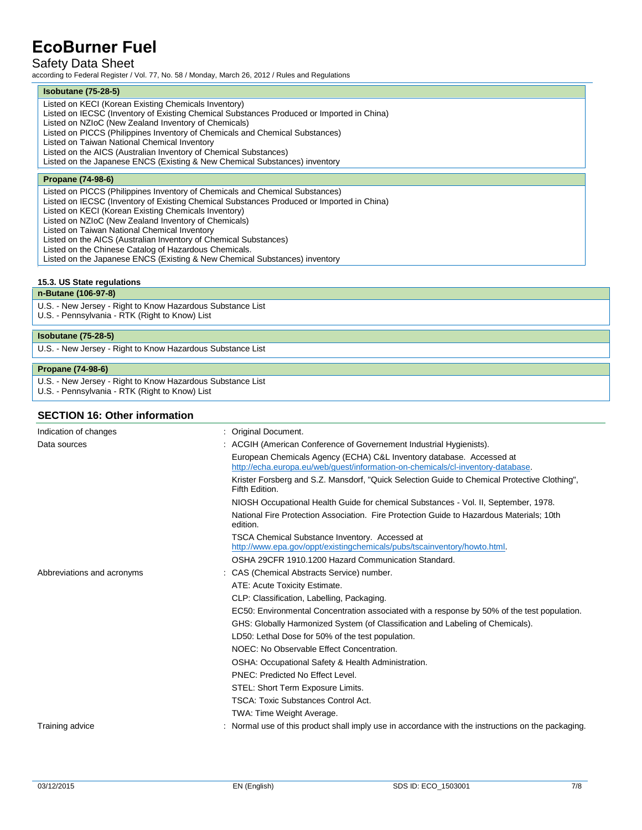## Safety Data Sheet

according to Federal Register / Vol. 77, No. 58 / Monday, March 26, 2012 / Rules and Regulations

#### **Isobutane (75-28-5)**

Listed on KECI (Korean Existing Chemicals Inventory) Listed on IECSC (Inventory of Existing Chemical Substances Produced or Imported in China) Listed on NZIoC (New Zealand Inventory of Chemicals)

Listed on PICCS (Philippines Inventory of Chemicals and Chemical Substances)

Listed on Taiwan National Chemical Inventory

Listed on the AICS (Australian Inventory of Chemical Substances)

Listed on the Japanese ENCS (Existing & New Chemical Substances) inventory

#### **Propane (74-98-6)**

Listed on PICCS (Philippines Inventory of Chemicals and Chemical Substances)

Listed on IECSC (Inventory of Existing Chemical Substances Produced or Imported in China)

Listed on KECI (Korean Existing Chemicals Inventory)

Listed on NZIoC (New Zealand Inventory of Chemicals)

Listed on Taiwan National Chemical Inventory

Listed on the AICS (Australian Inventory of Chemical Substances)

Listed on the Chinese Catalog of Hazardous Chemicals.

Listed on the Japanese ENCS (Existing & New Chemical Substances) inventory

#### **15.3. US State regulations**

#### **n-Butane (106-97-8)**

U.S. - New Jersey - Right to Know Hazardous Substance List U.S. - Pennsylvania - RTK (Right to Know) List

### **Isobutane (75-28-5)**

U.S. - New Jersey - Right to Know Hazardous Substance List

#### **Propane (74-98-6)**

U.S. - New Jersey - Right to Know Hazardous Substance List

U.S. - Pennsylvania - RTK (Right to Know) List

#### **SECTION 16: Other information**

| Indication of changes      | : Original Document.                                                                                                                                    |
|----------------------------|---------------------------------------------------------------------------------------------------------------------------------------------------------|
| Data sources               | : ACGIH (American Conference of Governement Industrial Hygienists).                                                                                     |
|                            | European Chemicals Agency (ECHA) C&L Inventory database. Accessed at<br>http://echa.europa.eu/web/quest/information-on-chemicals/cl-inventory-database. |
|                            | Krister Forsberg and S.Z. Mansdorf, "Quick Selection Guide to Chemical Protective Clothing",<br>Fifth Edition.                                          |
|                            | NIOSH Occupational Health Guide for chemical Substances - Vol. II, September, 1978.                                                                     |
|                            | National Fire Protection Association. Fire Protection Guide to Hazardous Materials: 10th<br>edition.                                                    |
|                            | <b>TSCA Chemical Substance Inventory. Accessed at</b><br>http://www.epa.gov/oppt/existingchemicals/pubs/tscainventory/howto.html.                       |
|                            | OSHA 29CFR 1910.1200 Hazard Communication Standard.                                                                                                     |
| Abbreviations and acronyms | : CAS (Chemical Abstracts Service) number.                                                                                                              |
|                            | ATE: Acute Toxicity Estimate.                                                                                                                           |
|                            | CLP: Classification, Labelling, Packaging.                                                                                                              |
|                            | EC50: Environmental Concentration associated with a response by 50% of the test population.                                                             |
|                            | GHS: Globally Harmonized System (of Classification and Labeling of Chemicals).                                                                          |
|                            | LD50: Lethal Dose for 50% of the test population.                                                                                                       |
|                            | NOEC: No Observable Effect Concentration.                                                                                                               |
|                            | OSHA: Occupational Safety & Health Administration.                                                                                                      |
|                            | PNEC: Predicted No Effect Level.                                                                                                                        |
|                            | STEL: Short Term Exposure Limits.                                                                                                                       |
|                            | <b>TSCA: Toxic Substances Control Act.</b>                                                                                                              |
|                            | TWA: Time Weight Average.                                                                                                                               |
| Training advice            | Normal use of this product shall imply use in accordance with the instructions on the packaging.                                                        |